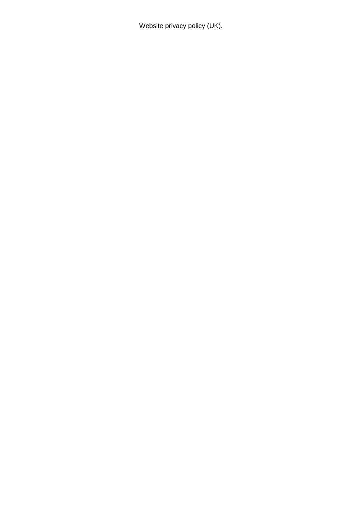Website privacy policy (UK).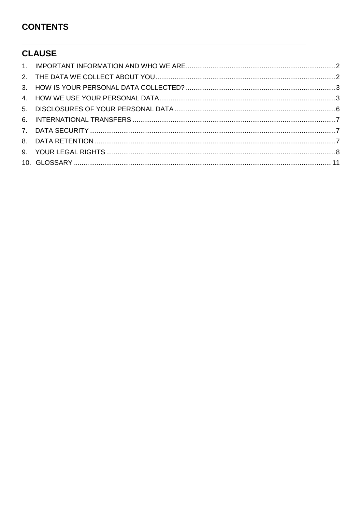# **CONTENTS**

# **CLAUSE**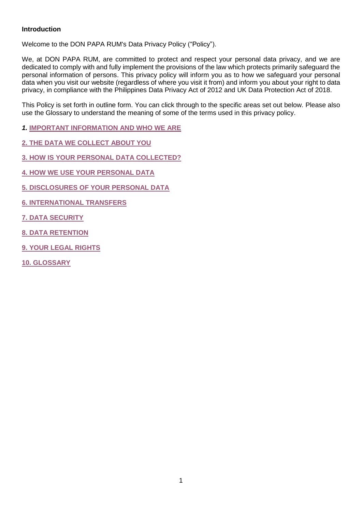# **Introduction**

Welcome to the DON PAPA RUM's Data Privacy Policy ("Policy").

We, at DON PAPA RUM, are committed to protect and respect your personal data privacy, and we are dedicated to comply with and fully implement the provisions of the law which protects primarily safeguard the personal information of persons. This privacy policy will inform you as to how we safeguard your personal data when you visit our website (regardless of where you visit it from) and inform you about your right to data privacy, in compliance with the Philippines Data Privacy Act of 2012 and UK Data Protection Act of 2018.

This Policy is set forth in outline form. You can click through to the specific areas set out below. Please also use the Glossary to understand the meaning of some of the terms used in this privacy policy.

*1.* **[IMPORTANT INFORMATION AND WHO WE ARE](#page-3-1)**

**[2. THE DATA WE COLLECT ABOUT YOU](#page-3-2)**

**[3. HOW IS YOUR PERSONAL DATA COLLECTED?](#page-4-0)**

**[4. HOW WE USE YOUR PERSONAL DATA](#page-4-1)**

**[5. DISCLOSURES OF YOUR PERSONAL DATA](#page-7-0)**

**[6. INTERNATIONAL TRANSFERS](#page-8-0)**

**[7. DATA SECURITY](#page-8-3)**

**[8. DATA RETENTION](#page-8-4)**

**[9. YOUR LEGAL RIGHTS](#page-9-0)**

**[10. GLOSSARY](#page-12-0)**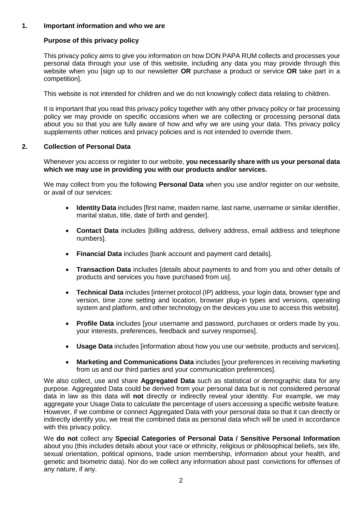## <span id="page-3-1"></span>**1. Important information and who we are**

# <span id="page-3-0"></span>**Purpose of this privacy policy**

This privacy policy aims to give you information on how DON PAPA RUM collects and processes your personal data through your use of this website, including any data you may provide through this website when you [sign up to our newsletter **OR** purchase a product or service **OR** take part in a competition].

This website is not intended for children and we do not knowingly collect data relating to children.

It is important that you read this privacy policy together with any other privacy policy or fair processing policy we may provide on specific occasions when we are collecting or processing personal data about you so that you are fully aware of how and why we are using your data. This privacy policy supplements other notices and privacy policies and is not intended to override them.

## <span id="page-3-2"></span>**2. Collection of Personal Data**

Whenever you access or register to our website, **you necessarily share with us your personal data which we may use in providing you with our products and/or services.**

We may collect from you the following **Personal Data** when you use and/or register on our website, or avail of our services:

- **Identity Data** includes [first name, maiden name, last name, username or similar identifier, marital status, title, date of birth and gender].
- **Contact Data** includes [billing address, delivery address, email address and telephone numbers].
- **Financial Data** includes [bank account and payment card details].
- **Transaction Data** includes [details about payments to and from you and other details of products and services you have purchased from us].
- **Technical Data** includes [internet protocol (IP) address, your login data, browser type and version, time zone setting and location, browser plug-in types and versions, operating system and platform, and other technology on the devices you use to access this website].
- **Profile Data** includes [your username and password, purchases or orders made by you, your interests, preferences, feedback and survey responses].
- **Usage Data** includes [information about how you use our website, products and services].
- **Marketing and Communications Data** includes [your preferences in receiving marketing from us and our third parties and your communication preferences].

We also collect, use and share **Aggregated Data** such as statistical or demographic data for any purpose. Aggregated Data could be derived from your personal data but is not considered personal data in law as this data will **not** directly or indirectly reveal your identity. For example, we may aggregate your Usage Data to calculate the percentage of users accessing a specific website feature. However, if we combine or connect Aggregated Data with your personal data so that it can directly or indirectly identify you, we treat the combined data as personal data which will be used in accordance with this privacy policy.

We **do not** collect any **Special Categories of Personal Data / Sensitive Personal Information**  about you (this includes details about your race or ethnicity, religious or philosophical beliefs, sex life, sexual orientation, political opinions, trade union membership, information about your health, and genetic and biometric data). Nor do we collect any information about past convictions for offenses of any nature, if any.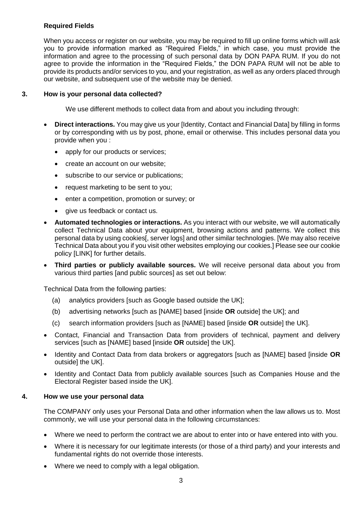# **Required Fields**

When you access or register on our website, you may be required to fill up online forms which will ask you to provide information marked as "Required Fields," in which case, you must provide the information and agree to the processing of such personal data by DON PAPA RUM. If you do not agree to provide the information in the "Required Fields," the DON PAPA RUM will not be able to provide its products and/or services to you, and your registration, as well as any orders placed through our website, and subsequent use of the website may be denied.

### <span id="page-4-0"></span>**3. How is your personal data collected?**

We use different methods to collect data from and about you including through:

- **Direct interactions.** You may give us your [Identity, Contact and Financial Data] by filling in forms or by corresponding with us by post, phone, email or otherwise. This includes personal data you provide when you :
	- apply for our products or services:
	- create an account on our website:
	- subscribe to our service or publications;
	- request marketing to be sent to you;
	- enter a competition, promotion or survey; or
	- give us feedback or contact us.
- **Automated technologies or interactions.** As you interact with our website, we will automatically collect Technical Data about your equipment, browsing actions and patterns. We collect this personal data by using cookies[, server logs] and other similar technologies. [We may also receive Technical Data about you if you visit other websites employing our cookies.] Please see our cookie policy [LINK] for further details.
- **Third parties or publicly available sources.** We will receive personal data about you from various third parties [and public sources] as set out below:

Technical Data from the following parties:

- (a) analytics providers [such as Google based outside the UK];
- (b) advertising networks [such as [NAME] based [inside **OR** outside] the UK]; and
- (c) search information providers [such as [NAME] based [inside **OR** outside] the UK].
- Contact, Financial and Transaction Data from providers of technical, payment and delivery services [such as [NAME] based [inside **OR** outside] the UK].
- Identity and Contact Data from data brokers or aggregators [such as [NAME] based [inside **OR** outside] the UKI.
- <span id="page-4-1"></span> Identity and Contact Data from publicly available sources [such as Companies House and the Electoral Register based inside the UK].

#### **4. How we use your personal data**

The COMPANY only uses your Personal Data and other information when the law allows us to. Most commonly, we will use your personal data in the following circumstances:

- Where we need to perform the contract we are about to enter into or have entered into with you.
- Where it is necessary for our legitimate interests (or those of a third party) and your interests and fundamental rights do not override those interests.
- Where we need to comply with a legal obligation.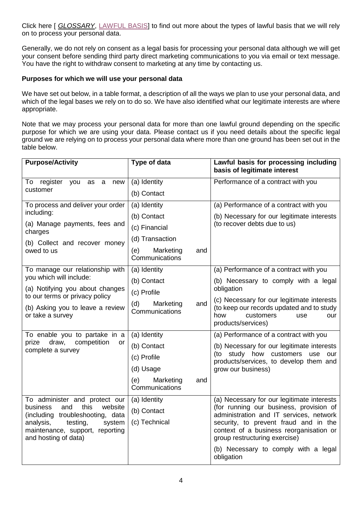Click here [ *[GLOSSARY](#page-12-0)*, [LAWFUL BASIS\]](#page-13-0) to find out more about the types of lawful basis that we will rely on to process your personal data.

Generally, we do not rely on consent as a legal basis for processing your personal data although we will get your consent before sending third party direct marketing communications to you via email or text message. You have the right to withdraw consent to marketing at any time by contacting us.

## **Purposes for which we will use your personal data**

We have set out below, in a table format, a description of all the ways we plan to use your personal data, and which of the legal bases we rely on to do so. We have also identified what our legitimate interests are where appropriate.

Note that we may process your personal data for more than one lawful ground depending on the specific purpose for which we are using your data. Please contact us if you need details about the specific legal ground we are relying on to process your personal data where more than one ground has been set out in the table below.

| <b>Purpose/Activity</b>                                                                    | Type of data                              | Lawful basis for processing including<br>basis of legitimate interest                                                                                                                                   |
|--------------------------------------------------------------------------------------------|-------------------------------------------|---------------------------------------------------------------------------------------------------------------------------------------------------------------------------------------------------------|
| register<br>To<br>you<br>as<br>a<br>new                                                    | (a) Identity                              | Performance of a contract with you                                                                                                                                                                      |
| customer                                                                                   | (b) Contact                               |                                                                                                                                                                                                         |
| To process and deliver your order                                                          | (a) Identity                              | (a) Performance of a contract with you                                                                                                                                                                  |
| including:                                                                                 | (b) Contact                               | (b) Necessary for our legitimate interests<br>(to recover debts due to us)                                                                                                                              |
| (a) Manage payments, fees and<br>charges                                                   | (c) Financial                             |                                                                                                                                                                                                         |
| (b) Collect and recover money                                                              | (d) Transaction                           |                                                                                                                                                                                                         |
| owed to us                                                                                 | (e)<br>Marketing<br>and<br>Communications |                                                                                                                                                                                                         |
| To manage our relationship with                                                            | (a) Identity                              | (a) Performance of a contract with you                                                                                                                                                                  |
| you which will include:                                                                    | (b) Contact                               | (b) Necessary to comply with a legal                                                                                                                                                                    |
| (a) Notifying you about changes<br>to our terms or privacy policy                          | (c) Profile                               | obligation                                                                                                                                                                                              |
| (b) Asking you to leave a review<br>or take a survey                                       | (d)<br>Marketing<br>and<br>Communications | (c) Necessary for our legitimate interests<br>(to keep our records updated and to study<br>how<br>customers<br>use<br>our<br>products/services)                                                         |
| To enable you to partake in a                                                              | (a) Identity                              | (a) Performance of a contract with you                                                                                                                                                                  |
| draw,<br>competition<br>prize<br>or<br>complete a survey                                   | (b) Contact                               | (b) Necessary for our legitimate interests<br>(to study how customers use<br>our<br>products/services, to develop them and                                                                              |
|                                                                                            | (c) Profile                               |                                                                                                                                                                                                         |
|                                                                                            | (d) Usage                                 | grow our business)                                                                                                                                                                                      |
|                                                                                            | Marketing<br>(e)<br>and<br>Communications |                                                                                                                                                                                                         |
| To administer and protect our                                                              | (a) Identity                              | (a) Necessary for our legitimate interests                                                                                                                                                              |
| this<br>business<br>and<br>website<br>(including troubleshooting, data                     | (b) Contact                               | (for running our business, provision of<br>administration and IT services, network<br>security, to prevent fraud and in the<br>context of a business reorganisation or<br>group restructuring exercise) |
| analysis,<br>testing,<br>system<br>maintenance, support, reporting<br>and hosting of data) | (c) Technical                             |                                                                                                                                                                                                         |
|                                                                                            |                                           | (b) Necessary to comply with a legal<br>obligation                                                                                                                                                      |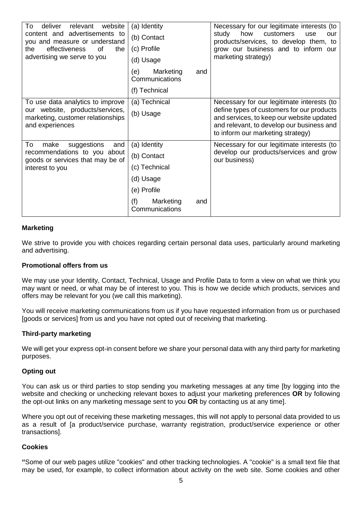| To<br>relevant<br>website<br>deliver<br>content and advertisements to<br>you and measure or understand<br>effectiveness<br>of<br>the<br>the<br>advertising we serve to you | (a) Identity<br>(b) Contact<br>(c) Profile<br>(d) Usage<br>Marketing<br>(e)<br>and<br>Communications<br>(f) Technical | Necessary for our legitimate interests (to<br>study<br>how<br>customers<br>use<br>our<br>products/services, to develop them, to<br>grow our business and to inform our<br>marketing strategy)                           |
|----------------------------------------------------------------------------------------------------------------------------------------------------------------------------|-----------------------------------------------------------------------------------------------------------------------|-------------------------------------------------------------------------------------------------------------------------------------------------------------------------------------------------------------------------|
| To use data analytics to improve<br>our website, products/services,<br>marketing, customer relationships<br>and experiences                                                | (a) Technical<br>(b) Usage                                                                                            | Necessary for our legitimate interests (to<br>define types of customers for our products<br>and services, to keep our website updated<br>and relevant, to develop our business and<br>to inform our marketing strategy) |
| To<br>suggestions<br>make<br>and<br>recommendations to you about<br>goods or services that may be of<br>interest to you                                                    | (a) Identity<br>(b) Contact<br>(c) Technical<br>(d) Usage<br>(e) Profile<br>(f)<br>Marketing<br>and<br>Communications | Necessary for our legitimate interests (to<br>develop our products/services and grow<br>our business)                                                                                                                   |

#### **Marketing**

We strive to provide you with choices regarding certain personal data uses, particularly around marketing and advertising.

#### **Promotional offers from us**

We may use your Identity, Contact, Technical, Usage and Profile Data to form a view on what we think you may want or need, or what may be of interest to you. This is how we decide which products, services and offers may be relevant for you (we call this marketing).

You will receive marketing communications from us if you have requested information from us or purchased [goods or services] from us and you have not opted out of receiving that marketing.

#### **Third-party marketing**

We will get your express opt-in consent before we share your personal data with any third party for marketing purposes.

#### **Opting out**

You can ask us or third parties to stop sending you marketing messages at any time [by logging into the website and checking or unchecking relevant boxes to adjust your marketing preferences **OR** by following the opt-out links on any marketing message sent to you **OR** by contacting us at any time].

Where you opt out of receiving these marketing messages, this will not apply to personal data provided to us as a result of [a product/service purchase, warranty registration, product/service experience or other transactions].

#### **Cookies**

**"**Some of our web pages utilize "cookies" and other tracking technologies. A "cookie" is a small text file that may be used, for example, to collect information about activity on the web site. Some cookies and other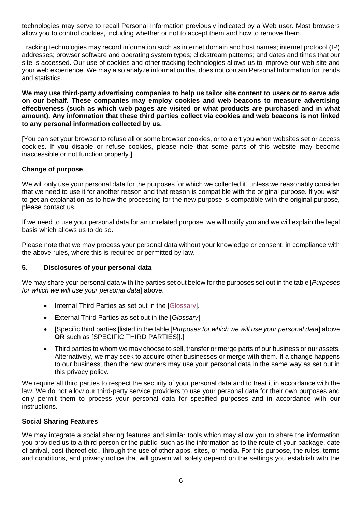technologies may serve to recall Personal Information previously indicated by a Web user. Most browsers allow you to control cookies, including whether or not to accept them and how to remove them.

Tracking technologies may record information such as internet domain and host names; internet protocol (IP) addresses; browser software and operating system types; clickstream patterns; and dates and times that our site is accessed. Our use of cookies and other tracking technologies allows us to improve our web site and your web experience. We may also analyze information that does not contain Personal Information for trends and statistics.

**We may use third-party advertising companies to help us tailor site content to users or to serve ads on our behalf. These companies may employ cookies and web beacons to measure advertising effectiveness (such as which web pages are visited or what products are purchased and in what amount). Any information that these third parties collect via cookies and web beacons is not linked to any personal information collected by us.**

[You can set your browser to refuse all or some browser cookies, or to alert you when websites set or access cookies. If you disable or refuse cookies, please note that some parts of this website may become inaccessible or not function properly.]

## **Change of purpose**

We will only use your personal data for the purposes for which we collected it, unless we reasonably consider that we need to use it for another reason and that reason is compatible with the original purpose. If you wish to get an explanation as to how the processing for the new purpose is compatible with the original purpose, please contact us.

If we need to use your personal data for an unrelated purpose, we will notify you and we will explain the legal basis which allows us to do so.

Please note that we may process your personal data without your knowledge or consent, in compliance with the above rules, where this is required or permitted by law.

#### <span id="page-7-0"></span>**5. Disclosures of your personal data**

We may share your personal data with the parties set out below for the purposes set out in the table [*Purposes for which we will use your personal data*] above.

- Internal Third Parties as set out in the [\[Glossary\]](#page-12-0).
- External Third Parties as set out in the [*[Glossary](#page-12-0)*].
- [Specific third parties [listed in the table [*Purposes for which we will use your personal data*] above **OR** such as [SPECIFIC THIRD PARTIES]].]
- Third parties to whom we may choose to sell, transfer or merge parts of our business or our assets. Alternatively, we may seek to acquire other businesses or merge with them. If a change happens to our business, then the new owners may use your personal data in the same way as set out in this privacy policy.

We require all third parties to respect the security of your personal data and to treat it in accordance with the law. We do not allow our third-party service providers to use your personal data for their own purposes and only permit them to process your personal data for specified purposes and in accordance with our instructions.

#### **Social Sharing Features**

We may integrate a social sharing features and similar tools which may allow you to share the information you provided us to a third person or the public, such as the information as to the route of your package, date of arrival, cost thereof etc., through the use of other apps, sites, or media. For this purpose, the rules, terms and conditions, and privacy notice that will govern will solely depend on the settings you establish with the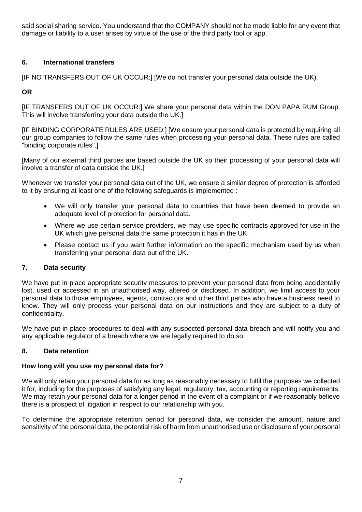said social sharing service. You understand that the COMPANY should not be made liable for any event that damage or liability to a user arises by virtue of the use of the third party tool or app.

# <span id="page-8-0"></span>**6. International transfers**

[IF NO TRANSFERS OUT OF UK OCCUR:] [We do not transfer your personal data outside the UK).

# **OR**

[IF TRANSFERS OUT OF UK OCCUR:] We share your personal data within the DON PAPA RUM Group. This will involve transferring your data outside the UK.]

[IF BINDING CORPORATE RULES ARE USED:] [We ensure your personal data is protected by requiring all our group companies to follow the same rules when processing your personal data. These rules are called "binding corporate rules".]

[Many of our external third parties are based outside the UK so their processing of your personal data will involve a transfer of data outside the UK.]

Whenever we transfer your personal data out of the UK, we ensure a similar degree of protection is afforded to it by ensuring at least one of the following safeguards is implemented :

- We will only transfer your personal data to countries that have been deemed to provide an adequate level of protection for personal data.
- Where we use certain service providers, we may use specific contracts approved for use in the UK which give personal data the same protection it has in the UK.
- <span id="page-8-1"></span>• Please contact us if you want further information on the specific mechanism used by us when transferring your personal data out of the UK.

# <span id="page-8-3"></span>**7. Data security**

We have put in place appropriate security measures to prevent your personal data from being accidentally lost, used or accessed in an unauthorised way, altered or disclosed. In addition, we limit access to your personal data to those employees, agents, contractors and other third parties who have a business need to know. They will only process your personal data on our instructions and they are subject to a duty of confidentiality.

We have put in place procedures to deal with any suspected personal data breach and will notify you and any applicable regulator of a breach where we are legally required to do so.

# <span id="page-8-4"></span><span id="page-8-2"></span>**8. Data retention**

#### **How long will you use my personal data for?**

We will only retain your personal data for as long as reasonably necessary to fulfil the purposes we collected it for, including for the purposes of satisfying any legal, regulatory, tax, accounting or reporting requirements. We may retain your personal data for a longer period in the event of a complaint or if we reasonably believe there is a prospect of litigation in respect to our relationship with you.

To determine the appropriate retention period for personal data, we consider the amount, nature and sensitivity of the personal data, the potential risk of harm from unauthorised use or disclosure of your personal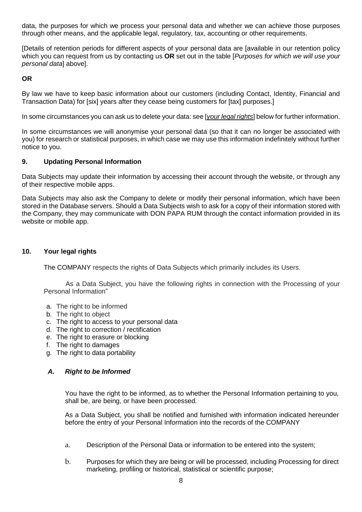data, the purposes for which we process your personal data and whether we can achieve those purposes through other means, and the applicable legal, regulatory, tax, accounting or other requirements.

[Details of retention periods for different aspects of your personal data are [available in our retention policy which you can request from us by contacting us **OR** set out in the table [*Purposes for which we will use your personal data*] above].

**OR** 

By law we have to keep basic information about our customers (including Contact, Identity, Financial and Transaction Data) for [six] years after they cease being customers for [tax] purposes.]

In some circumstances you can ask us to delete your data: see [*[your legal rights](#page-9-0)*] below for further information.

In some circumstances we will anonymise your personal data (so that it can no longer be associated with you) for research or statistical purposes, in which case we may use this information indefinitely without further notice to you.

#### **9. Updating Personal Information**

Data Subjects may update their information by accessing their account through the website, or through any of their respective mobile apps.

Data Subjects may also ask the Company to delete or modify their personal information, which have been stored in the Database servers. Should a Data Subjects wish to ask for a copy of their information stored with the Company, they may communicate with DON PAPA RUM through the contact information provided in its website or mobile app.

#### **10. Your legal rights**

<span id="page-9-0"></span>The COMPANY respects the rights of Data Subjects which primarily includes its Users.

As a Data Subject, you have the following rights in connection with the Processing of your Personal Information"

- a. The right to be informed
- b. The right to object
- c. The right to access to your personal data
- d. The right to correction / rectification
- e. The right to erasure or blocking
- f. The right to damages
- g. The right to data portability

#### *A. Right to be Informed*

You have the right to be informed, as to whether the Personal Information pertaining to you, shall be, are being, or have been processed.

As a Data Subject, you shall be notified and furnished with information indicated hereunder before the entry of your Personal Information into the records of the COMPANY

- a. Description of the Personal Data or information to be entered into the system;
- b. Purposes for which they are being or will be processed, including Processing for direct marketing, profiling or historical, statistical or scientific purpose;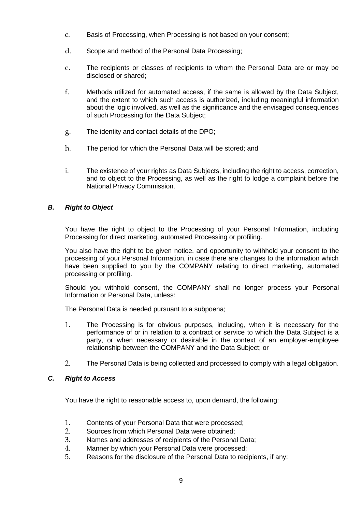- c. Basis of Processing, when Processing is not based on your consent;
- d. Scope and method of the Personal Data Processing;
- e. The recipients or classes of recipients to whom the Personal Data are or may be disclosed or shared;
- f. Methods utilized for automated access, if the same is allowed by the Data Subject, and the extent to which such access is authorized, including meaningful information about the logic involved, as well as the significance and the envisaged consequences of such Processing for the Data Subject;
- g. The identity and contact details of the DPO;
- h. The period for which the Personal Data will be stored; and
- i. The existence of your rights as Data Subjects, including the right to access, correction, and to object to the Processing, as well as the right to lodge a complaint before the National Privacy Commission.

## *B. Right to Object*

You have the right to object to the Processing of your Personal Information, including Processing for direct marketing, automated Processing or profiling.

You also have the right to be given notice, and opportunity to withhold your consent to the processing of your Personal Information, in case there are changes to the information which have been supplied to you by the COMPANY relating to direct marketing, automated processing or profiling.

Should you withhold consent, the COMPANY shall no longer process your Personal Information or Personal Data, unless:

The Personal Data is needed pursuant to a subpoena;

- 1. The Processing is for obvious purposes, including, when it is necessary for the performance of or in relation to a contract or service to which the Data Subject is a party, or when necessary or desirable in the context of an employer-employee relationship between the COMPANY and the Data Subject; or
- 2. The Personal Data is being collected and processed to comply with a legal obligation.

## *C. Right to Access*

You have the right to reasonable access to, upon demand, the following:

- 1. Contents of your Personal Data that were processed;
- 2. Sources from which Personal Data were obtained;
- 3. Names and addresses of recipients of the Personal Data;
- 4. Manner by which your Personal Data were processed;
- 5. Reasons for the disclosure of the Personal Data to recipients, if any;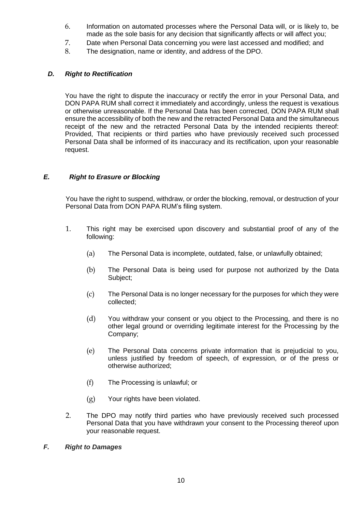- 6. Information on automated processes where the Personal Data will, or is likely to, be made as the sole basis for any decision that significantly affects or will affect you;
- 7. Date when Personal Data concerning you were last accessed and modified; and
- 8. The designation, name or identity, and address of the DPO.

### *D. Right to Rectification*

You have the right to dispute the inaccuracy or rectify the error in your Personal Data, and DON PAPA RUM shall correct it immediately and accordingly, unless the request is vexatious or otherwise unreasonable. If the Personal Data has been corrected, DON PAPA RUM shall ensure the accessibility of both the new and the retracted Personal Data and the simultaneous receipt of the new and the retracted Personal Data by the intended recipients thereof: Provided, That recipients or third parties who have previously received such processed Personal Data shall be informed of its inaccuracy and its rectification, upon your reasonable request.

## *E. Right to Erasure or Blocking*

You have the right to suspend, withdraw, or order the blocking, removal, or destruction of your Personal Data from DON PAPA RUM's filing system.

- 1. This right may be exercised upon discovery and substantial proof of any of the following:
	- (a) The Personal Data is incomplete, outdated, false, or unlawfully obtained;
	- (b) The Personal Data is being used for purpose not authorized by the Data Subject;
	- (c) The Personal Data is no longer necessary for the purposes for which they were collected;
	- (d) You withdraw your consent or you object to the Processing, and there is no other legal ground or overriding legitimate interest for the Processing by the Company;
	- (e) The Personal Data concerns private information that is prejudicial to you, unless justified by freedom of speech, of expression, or of the press or otherwise authorized;
	- (f) The Processing is unlawful; or
	- (g) Your rights have been violated.
- 2. The DPO may notify third parties who have previously received such processed Personal Data that you have withdrawn your consent to the Processing thereof upon your reasonable request.

### *F. Right to Damages*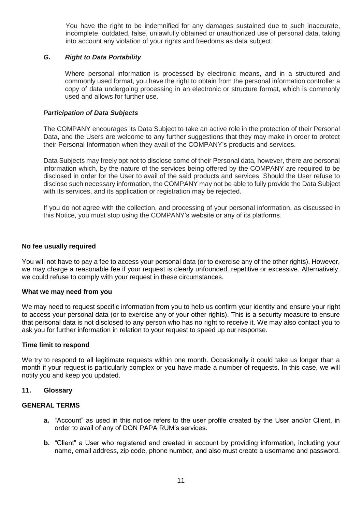You have the right to be indemnified for any damages sustained due to such inaccurate, incomplete, outdated, false, unlawfully obtained or unauthorized use of personal data, taking into account any violation of your rights and freedoms as data subject.

#### *G. Right to Data Portability*

Where personal information is processed by electronic means, and in a structured and commonly used format, you have the right to obtain from the personal information controller a copy of data undergoing processing in an electronic or structure format, which is commonly used and allows for further use.

#### *Participation of Data Subjects*

The COMPANY encourages its Data Subject to take an active role in the protection of their Personal Data, and the Users are welcome to any further suggestions that they may make in order to protect their Personal Information when they avail of the COMPANY's products and services.

Data Subjects may freely opt not to disclose some of their Personal data, however, there are personal information which, by the nature of the services being offered by the COMPANY are required to be disclosed in order for the User to avail of the said products and services. Should the User refuse to disclose such necessary information, the COMPANY may not be able to fully provide the Data Subject with its services, and its application or registration may be rejected.

If you do not agree with the collection, and processing of your personal information, as discussed in this Notice, you must stop using the COMPANY's website or any of its platforms.

#### **No fee usually required**

You will not have to pay a fee to access your personal data (or to exercise any of the other rights). However, we may charge a reasonable fee if your request is clearly unfounded, repetitive or excessive. Alternatively, we could refuse to comply with your request in these circumstances.

#### **What we may need from you**

We may need to request specific information from you to help us confirm your identity and ensure your right to access your personal data (or to exercise any of your other rights). This is a security measure to ensure that personal data is not disclosed to any person who has no right to receive it. We may also contact you to ask you for further information in relation to your request to speed up our response.

#### **Time limit to respond**

We try to respond to all legitimate requests within one month. Occasionally it could take us longer than a month if your request is particularly complex or you have made a number of requests. In this case, we will notify you and keep you updated.

#### <span id="page-12-0"></span>**11. Glossary**

#### **GENERAL TERMS**

- **a.** "Account" as used in this notice refers to the user profile created by the User and/or Client, in order to avail of any of DON PAPA RUM's services.
- **b.** "Client" a User who registered and created in account by providing information, including your name, email address, zip code, phone number, and also must create a username and password.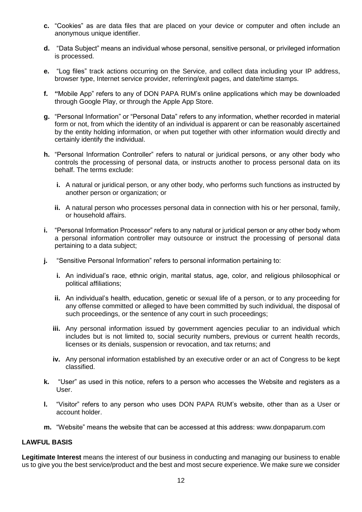- **c.** "Cookies" as are data files that are placed on your device or computer and often include an anonymous unique identifier.
- **d.** "Data Subject" means an individual whose personal, sensitive personal, or privileged information is processed.
- **e.** "Log files" track actions occurring on the Service, and collect data including your IP address, browser type, Internet service provider, referring/exit pages, and date/time stamps.
- **f. "**Mobile App" refers to any of DON PAPA RUM's online applications which may be downloaded through Google Play, or through the Apple App Store.
- **g.** "Personal Information" or "Personal Data" refers to any information, whether recorded in material form or not, from which the identity of an individual is apparent or can be reasonably ascertained by the entity holding information, or when put together with other information would directly and certainly identify the individual.
- **h.** "Personal Information Controller" refers to natural or juridical persons, or any other body who controls the processing of personal data, or instructs another to process personal data on its behalf. The terms exclude:
	- **i.** A natural or juridical person, or any other body, who performs such functions as instructed by another person or organization; or
	- **ii.** A natural person who processes personal data in connection with his or her personal, family, or household affairs.
- **i.** "Personal Information Processor" refers to any natural or juridical person or any other body whom a personal information controller may outsource or instruct the processing of personal data pertaining to a data subject;
- **j.** "Sensitive Personal Information" refers to personal information pertaining to:
	- **i.** An individual's race, ethnic origin, marital status, age, color, and religious philosophical or political affiliations;
	- **ii.** An individual's health, education, genetic or sexual life of a person, or to any proceeding for any offense committed or alleged to have been committed by such individual, the disposal of such proceedings, or the sentence of any court in such proceedings;
	- **iii.** Any personal information issued by government agencies peculiar to an individual which includes but is not limited to, social security numbers, previous or current health records, licenses or its denials, suspension or revocation, and tax returns; and
	- **iv.** Any personal information established by an executive order or an act of Congress to be kept classified.
- **k.** "User" as used in this notice, refers to a person who accesses the Website and registers as a User.
- **l.** "Visitor" refers to any person who uses DON PAPA RUM's website, other than as a User or account holder.
- **m.** "Website" means the website that can be accessed at this address: www.donpaparum.com

### <span id="page-13-0"></span>**LAWFUL BASIS**

**Legitimate Interest** means the interest of our business in conducting and managing our business to enable us to give you the best service/product and the best and most secure experience. We make sure we consider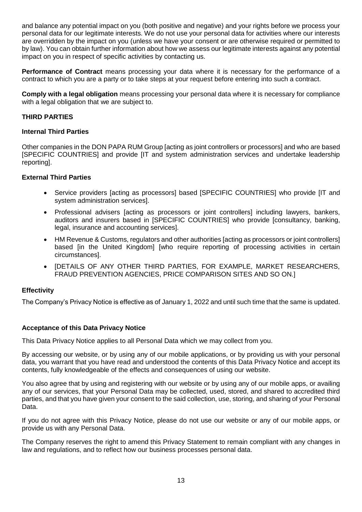and balance any potential impact on you (both positive and negative) and your rights before we process your personal data for our legitimate interests. We do not use your personal data for activities where our interests are overridden by the impact on you (unless we have your consent or are otherwise required or permitted to by law). You can obtain further information about how we assess our legitimate interests against any potential impact on you in respect of specific activities by contacting us.

**Performance of Contract** means processing your data where it is necessary for the performance of a contract to which you are a party or to take steps at your request before entering into such a contract.

**Comply with a legal obligation** means processing your personal data where it is necessary for compliance with a legal obligation that we are subject to.

## **THIRD PARTIES**

#### **Internal Third Parties**

Other companies in the DON PAPA RUM Group [acting as joint controllers or processors] and who are based [SPECIFIC COUNTRIES] and provide [IT and system administration services and undertake leadership reporting].

#### **External Third Parties**

- Service providers [acting as processors] based [SPECIFIC COUNTRIES] who provide [IT and system administration services].
- Professional advisers [acting as processors or joint controllers] including lawyers, bankers, auditors and insurers based in [SPECIFIC COUNTRIES] who provide [consultancy, banking, legal, insurance and accounting services].
- HM Revenue & Customs, regulators and other authorities [acting as processors or joint controllers] based [in the United Kingdom] [who require reporting of processing activities in certain circumstances].
- [DETAILS OF ANY OTHER THIRD PARTIES, FOR EXAMPLE, MARKET RESEARCHERS, FRAUD PREVENTION AGENCIES, PRICE COMPARISON SITES AND SO ON.]

#### **Effectivity**

The Company's Privacy Notice is effective as of January 1, 2022 and until such time that the same is updated.

#### **Acceptance of this Data Privacy Notice**

This Data Privacy Notice applies to all Personal Data which we may collect from you.

By accessing our website, or by using any of our mobile applications, or by providing us with your personal data, you warrant that you have read and understood the contents of this Data Privacy Notice and accept its contents, fully knowledgeable of the effects and consequences of using our website.

You also agree that by using and registering with our website or by using any of our mobile apps, or availing any of our services, that your Personal Data may be collected, used, stored, and shared to accredited third parties, and that you have given your consent to the said collection, use, storing, and sharing of your Personal Data.

If you do not agree with this Privacy Notice, please do not use our website or any of our mobile apps, or provide us with any Personal Data.

The Company reserves the right to amend this Privacy Statement to remain compliant with any changes in law and regulations, and to reflect how our business processes personal data.